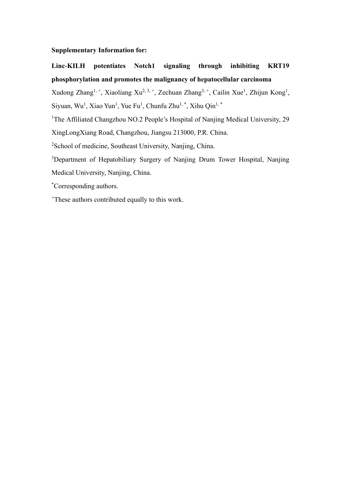**Supplementary Information for:**

**Linc-KILH potentiates Notch1 signaling through inhibiting KRT19 phosphorylation and promotes the malignancy of hepatocellular carcinoma**

Xudong Zhang<sup>1, +</sup>, Xiaoliang Xu<sup>2, 3, +</sup>, Zechuan Zhang<sup>3, +</sup>, Cailin Xue<sup>1</sup>, Zhijun Kong<sup>1</sup>, Siyuan, Wu<sup>1</sup>, Xiao Yun<sup>1</sup>, Yue Fu<sup>1</sup>, Chunfu Zhu<sup>1,\*</sup>, Xihu Qin<sup>1,\*</sup>

<sup>1</sup>The Affiliated Changzhou NO.2 People's Hospital of Nanjing Medical University, 29

XingLongXiang Road, Changzhou, Jiangsu 213000, P.R. China.

<sup>2</sup>School of medicine, Southeast University, Nanjing, China.

<sup>3</sup>Department of Hepatobiliary Surgery of Nanjing Drum Tower Hospital, Nanjing Medical University, Nanjing, China.

\*Corresponding authors.

<sup>+</sup>These authors contributed equally to this work.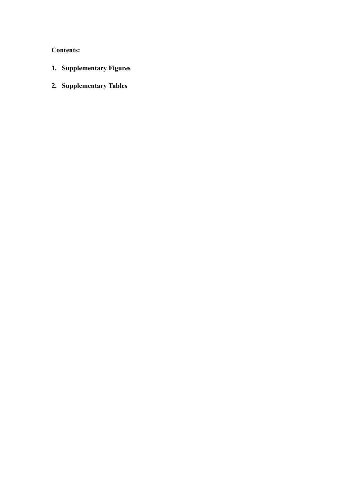**Contents:**

- **1. Supplementary Figures**
- **2. Supplementary Tables**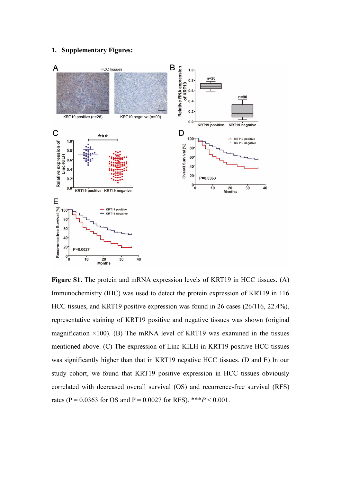#### **1. Supplementary Figures:**



**Figure S1.** The protein and mRNA expression levels of KRT19 in HCC tissues. (A) Immunochemistry (IHC) was used to detect the protein expression of KRT19 in 116 HCC tissues, and KRT19 positive expression was found in 26 cases (26/116, 22.4%), representative staining of KRT19 positive and negative tissues was shown (original magnification  $\times$ 100). (B) The mRNA level of KRT19 was examined in the tissues mentioned above. (C) The expression of Linc-KILH in KRT19 positive HCC tissues was significantly higher than that in KRT19 negative HCC tissues. (D and E) In our study cohort, we found that KRT19 positive expression in HCC tissues obviously correlated with decreased overall survival (OS) and recurrence-free survival (RFS) rates (P =  $0.0363$  for OS and P =  $0.0027$  for RFS). \*\*\* $P < 0.001$ .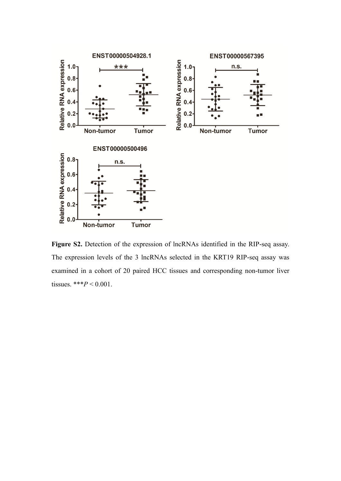

**Figure S2.** Detection of the expression of lncRNAs identified in the RIP-seq assay. The expression levels of the 3 lncRNAs selected in the KRT19 RIP-seq assay was examined in a cohort of 20 paired HCC tissues and corresponding non-tumor liver tissues. \*\*\**P* < 0.001.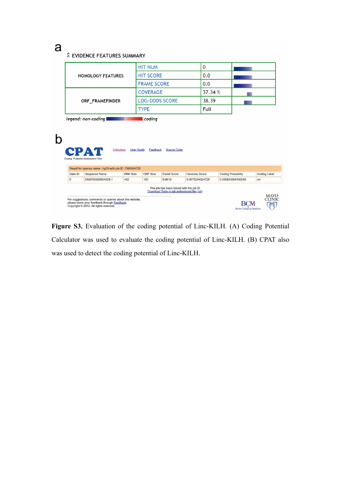# a

# **2 EVIDENCE FEATURES SUMMARY**

| <b>HOMOLOGY FEATURES</b> | <b>HIT NUM</b>        |         |  |
|--------------------------|-----------------------|---------|--|
|                          | <b>HIT SCORE</b>      | 0.0     |  |
|                          | <b>FRAME SCORE</b>    | 0.0     |  |
| ORF FRAMEFINDER          | <b>COVERAGE</b>       | 37.34 % |  |
|                          | <b>LOG-ODDS SCORE</b> | 38.39   |  |
|                          | <b>TYPE</b>           | Full    |  |

legend: non-coding **the coding of the coding** 

| <b>User Guide</b><br>CPAT<br>Calculator<br>Feedback<br><b>Source Code</b><br>Coding Potential Assessment Tool                                                                                                                                                                                                        |                                                       |                 |                 |                     |                      |                           |                     |
|----------------------------------------------------------------------------------------------------------------------------------------------------------------------------------------------------------------------------------------------------------------------------------------------------------------------|-------------------------------------------------------|-----------------|-----------------|---------------------|----------------------|---------------------------|---------------------|
|                                                                                                                                                                                                                                                                                                                      | Result for species name: hg19 with job ID: 1560664729 |                 |                 |                     |                      |                           |                     |
| Data ID                                                                                                                                                                                                                                                                                                              | Sequence Name                                         | <b>RNA Size</b> | <b>ORF Size</b> | <b>Ficket Score</b> | <b>Hexamer Score</b> | <b>Coding Probability</b> | <b>Coding Label</b> |
| 0                                                                                                                                                                                                                                                                                                                    | ENST00000504928.1                                     | 482             | 183             | 0.8818              | 0.0675294024728      | 0.050633068192045         | no                  |
| This job has been stored with the job ID<br>Download Table in tab delimetered file (.txt)<br><b>MAYO</b><br><b>CLINIC</b><br>For suggestions, comments or queries about this website,<br>please leave your feedback through Feedback.<br>Copyright © 2012. All rights reserved.<br><b>Baylor College of Medicine</b> |                                                       |                 |                 |                     |                      |                           |                     |

**Figure S3.** Evaluation of the coding potential of Linc-KILH. (A) Coding Potential Calculator was used to evaluate the coding potential of Linc-KILH. (B) CPAT also was used to detect the coding potential of Linc-KILH.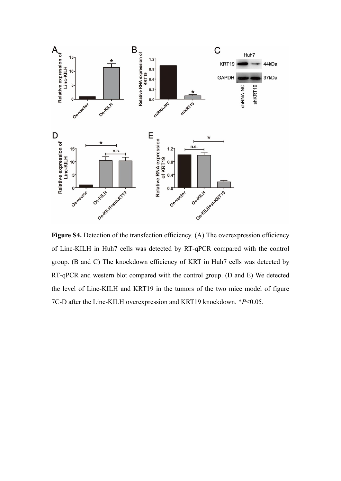

**Figure S4.** Detection of the transfection efficiency. (A) The overexpression efficiency of Linc-KILH in Huh7 cells was detected by RT-qPCR compared with the control group. (B and C) The knockdown efficiency of KRT in Huh7 cells was detected by RT-qPCR and western blot compared with the control group. (D and E) We detected the level of Linc-KILH and KRT19 in the tumors of the two mice model of figure 7C-D after the Linc-KILH overexpression and KRT19 knockdown. \**P*<0.05.